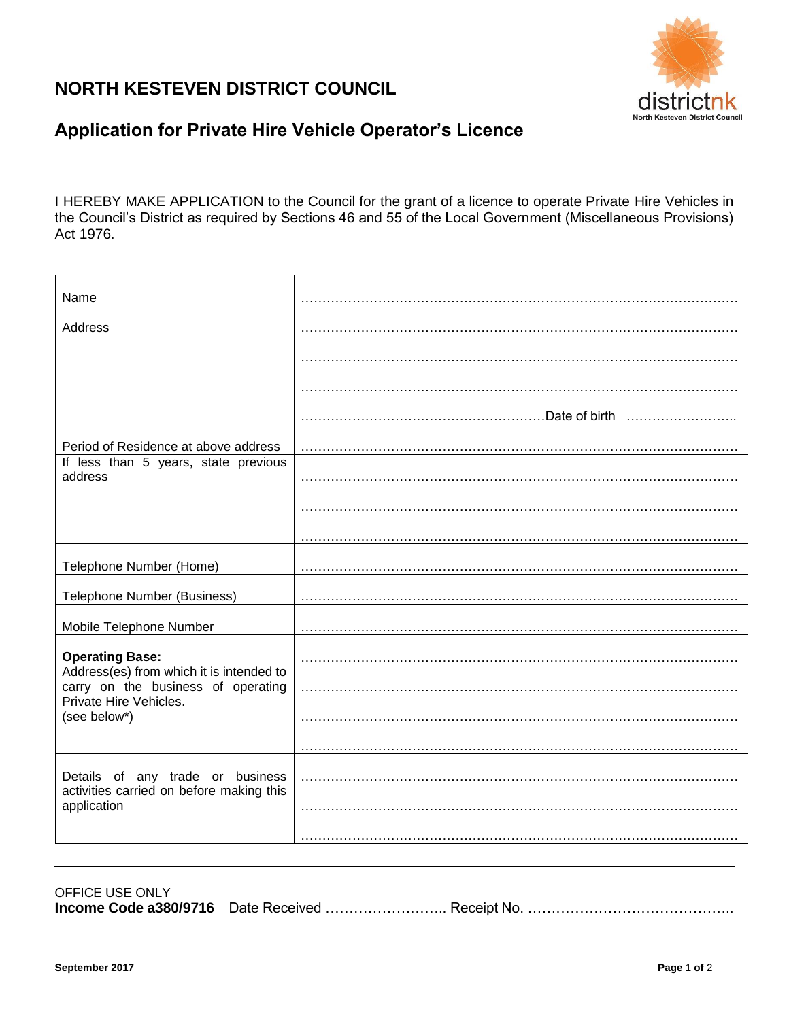## **NORTH KESTEVEN DISTRICT COUNCIL**



## **Application for Private Hire Vehicle Operator's Licence**

I HEREBY MAKE APPLICATION to the Council for the grant of a licence to operate Private Hire Vehicles in the Council's District as required by Sections 46 and 55 of the Local Government (Miscellaneous Provisions) Act 1976.

| Name                                                                         |                    |
|------------------------------------------------------------------------------|--------------------|
| Address                                                                      |                    |
|                                                                              |                    |
|                                                                              |                    |
|                                                                              | Date of birth<br>. |
| Period of Residence at above address                                         |                    |
| If less than 5 years, state previous<br>address                              |                    |
|                                                                              |                    |
|                                                                              |                    |
| Telephone Number (Home)                                                      |                    |
| <b>Telephone Number (Business)</b>                                           |                    |
| Mobile Telephone Number                                                      |                    |
| <b>Operating Base:</b><br>Address(es) from which it is intended to           |                    |
| carry on the business of operating<br>Private Hire Vehicles.                 |                    |
| (see below*)                                                                 |                    |
|                                                                              |                    |
| Details of any trade or business<br>activities carried on before making this |                    |
| application                                                                  |                    |
|                                                                              |                    |

OFFICE USE ONLY **Income Code a380/9716** Date Received ………………………… Receipt No. ……………………………………………………